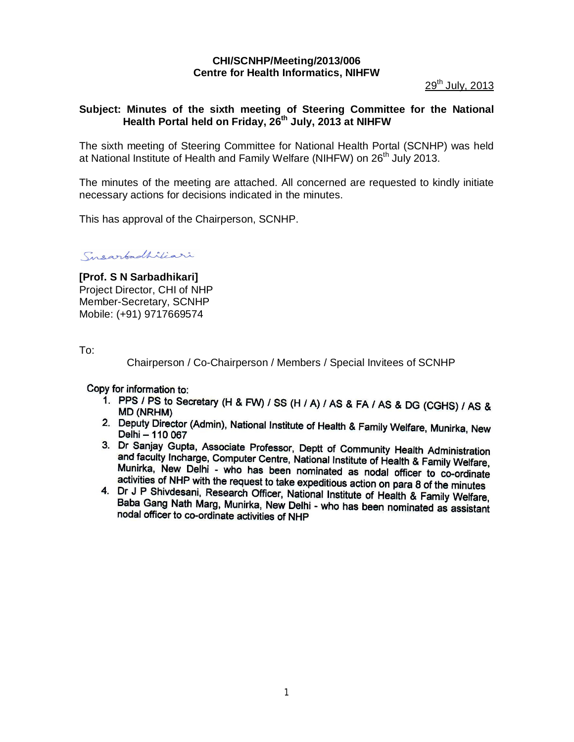# **CHI/SCNHP/Meeting/2013/006 Centre for Health Informatics, NIHFW**

29<sup>th</sup> July, 2013

## **Subject: Minutes of the sixth meeting of Steering Committee for the National Health Portal held on Friday, 26th July, 2013 at NIHFW**

The sixth meeting of Steering Committee for National Health Portal (SCNHP) was held at National Institute of Health and Family Welfare (NIHFW) on 26<sup>th</sup> July 2013.

The minutes of the meeting are attached. All concerned are requested to kindly initiate necessary actions for decisions indicated in the minutes.

This has approval of the Chairperson, SCNHP.

Susarbadhiliari

**[Prof. S N Sarbadhikari]** Project Director, CHI of NHP Member-Secretary, SCNHP Mobile: (+91) 9717669574

To:

Chairperson / Co-Chairperson / Members / Special Invitees of SCNHP

Copy for information to:

- 1. PPS / PS to Secretary (H & FW) / SS (H / A) / AS & FA / AS & DG (CGHS) / AS & **MD (NRHM)**
- 2. Deputy Director (Admin), National Institute of Health & Family Welfare, Munirka, New Delhi - 110 067
- 3. Dr Sanjay Gupta, Associate Professor, Deptt of Community Health Administration and faculty Incherge, Computer Centre, National Institute of Health & Family Welfare, Munirka, New Delhi - who has been nominated as nodal officer to co-ordinate activities of NHP with the request to take expeditious action on para 8 of the minutes
- 4. Dr J P Shivdesni, Research Officer, National Institute of Health & Family Welfare, Baba Gang Nath Marg, Munirka, New Delhi - who has been nominated as assistant nodal officer to co-ordinate activities of NHP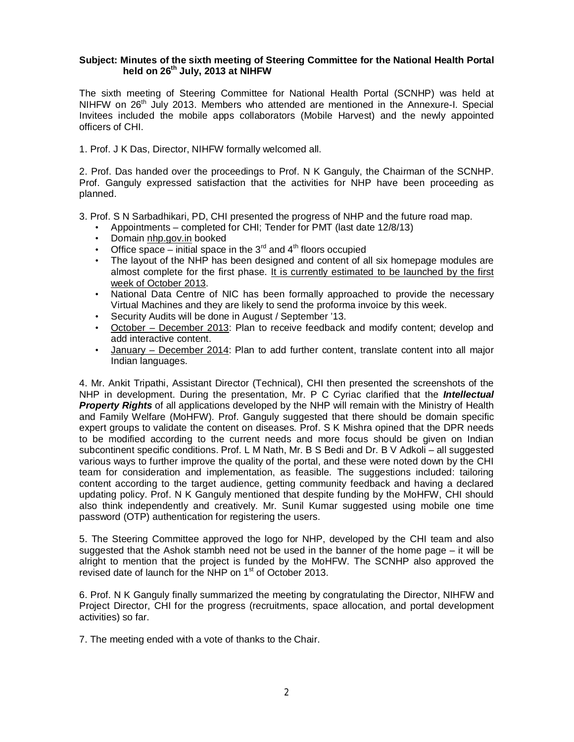#### **Subject: Minutes of the sixth meeting of Steering Committee for the National Health Portal held on 26th July, 2013 at NIHFW**

The sixth meeting of Steering Committee for National Health Portal (SCNHP) was held at NIHFW on  $26<sup>th</sup>$  July 2013. Members who attended are mentioned in the Annexure-I. Special Invitees included the mobile apps collaborators (Mobile Harvest) and the newly appointed officers of CHI.

1. Prof. J K Das, Director, NIHFW formally welcomed all.

2. Prof. Das handed over the proceedings to Prof. N K Ganguly, the Chairman of the SCNHP. Prof. Ganguly expressed satisfaction that the activities for NHP have been proceeding as planned.

3. Prof. S N Sarbadhikari, PD, CHI presented the progress of NHP and the future road map.

- Appointments completed for CHI; Tender for PMT (last date 12/8/13)
- Domain nhp.gov.in booked
- Office space initial space in the  $3<sup>rd</sup>$  and  $4<sup>th</sup>$  floors occupied
- The layout of the NHP has been designed and content of all six homepage modules are almost complete for the first phase. It is currently estimated to be launched by the first week of October 2013.
- National Data Centre of NIC has been formally approached to provide the necessary Virtual Machines and they are likely to send the proforma invoice by this week.
- Security Audits will be done in August / September '13.
- October December 2013: Plan to receive feedback and modify content; develop and add interactive content.
- January December 2014: Plan to add further content, translate content into all major Indian languages.

4. Mr. Ankit Tripathi, Assistant Director (Technical), CHI then presented the screenshots of the NHP in development. During the presentation, Mr. P C Cyriac clarified that the *Intellectual*  **Property Rights** of all applications developed by the NHP will remain with the Ministry of Health and Family Welfare (MoHFW). Prof. Ganguly suggested that there should be domain specific expert groups to validate the content on diseases. Prof. S K Mishra opined that the DPR needs to be modified according to the current needs and more focus should be given on Indian subcontinent specific conditions. Prof. L M Nath, Mr. B S Bedi and Dr. B V Adkoli – all suggested various ways to further improve the quality of the portal, and these were noted down by the CHI team for consideration and implementation, as feasible. The suggestions included: tailoring content according to the target audience, getting community feedback and having a declared updating policy. Prof. N K Ganguly mentioned that despite funding by the MoHFW, CHI should also think independently and creatively. Mr. Sunil Kumar suggested using mobile one time password (OTP) authentication for registering the users.

5. The Steering Committee approved the logo for NHP, developed by the CHI team and also suggested that the Ashok stambh need not be used in the banner of the home page – it will be alright to mention that the project is funded by the MoHFW. The SCNHP also approved the revised date of launch for the NHP on 1<sup>st</sup> of October 2013.

6. Prof. N K Ganguly finally summarized the meeting by congratulating the Director, NIHFW and Project Director, CHI for the progress (recruitments, space allocation, and portal development activities) so far.

7. The meeting ended with a vote of thanks to the Chair.